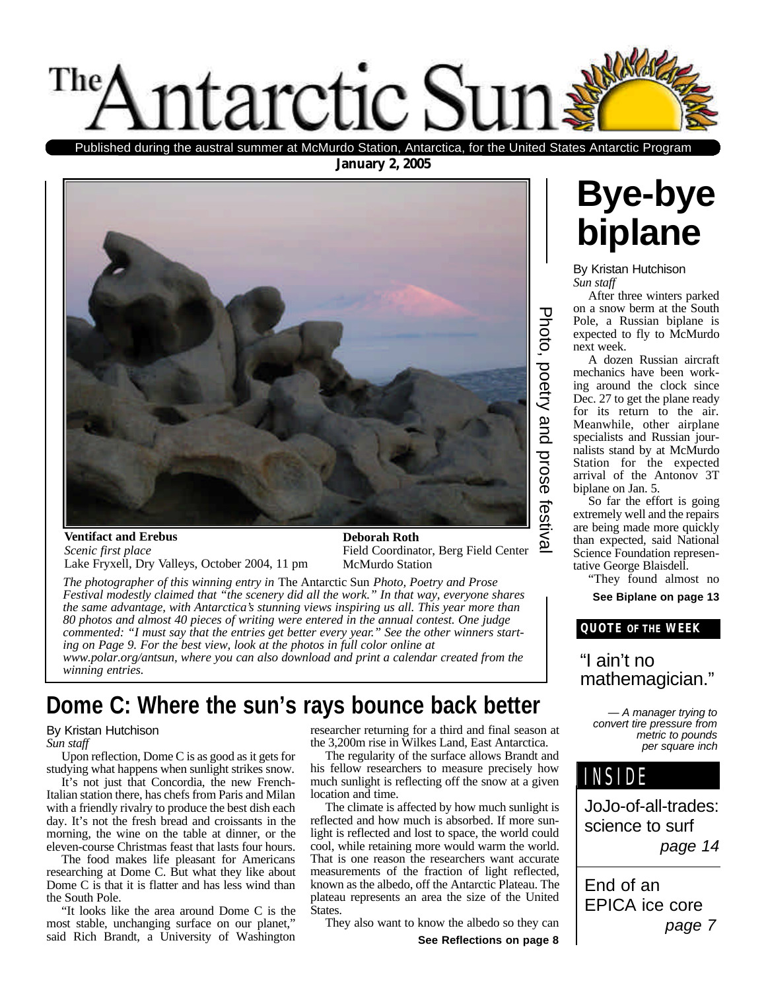

Published during the austral summer at McMurdo Station, Antarctica, for the United States Antarctic Program

**January 2, 2005**



#### **Ventifact and Erebus** *Scenic first place* Lake Fryxell, Dry Valleys, October 2004, 11 pm

**Deborah Roth** Field Coordinator, Berg Field Center McMurdo Station

*The photographer of this winning entry in* The Antarctic Sun *Photo, Poetry and Prose Festival modestly claimed that "the scenery did all the work." In that way, everyone shares the same advantage, with Antarctica's stunning views inspiring us all. This year more than 80 photos and almost 40 pieces of writing were entered in the annual contest. One judge commented: "I must say that the entries get better every year." See the other winners starting on Page 9. For the best view, look at the photos in full color online at www.polar.org/antsun, where you can also download and print a calendar created from the winning entries.*

### **Dome C: Where the sun's rays bounce back better**

#### By Kristan Hutchison

*Sun staff*

Upon reflection, Dome C is as good as it gets for studying what happens when sunlight strikes snow.

It's not just that Concordia, the new French-Italian station there, has chefs from Paris and Milan with a friendly rivalry to produce the best dish each day. It's not the fresh bread and croissants in the morning, the wine on the table at dinner, or the eleven-course Christmas feast that lasts four hours.

The food makes life pleasant for Americans researching at Dome C. But what they like about Dome C is that it is flatter and has less wind than the South Pole.

"It looks like the area around Dome C is the most stable, unchanging surface on our planet," said Rich Brandt, a University of Washington researcher returning for a third and final season at the 3,200m rise in Wilkes Land, East Antarctica.

The regularity of the surface allows Brandt and his fellow researchers to measure precisely how much sunlight is reflecting off the snow at a given location and time.

The climate is affected by how much sunlight is reflected and how much is absorbed. If more sunlight is reflected and lost to space, the world could cool, while retaining more would warm the world. That is one reason the researchers want accurate measurements of the fraction of light reflected, known as the albedo, off the Antarctic Plateau. The plateau represents an area the size of the United States.

They also want to know the albedo so they can

**See Reflections on page 8**



By Kristan Hutchison *Sun staff*

After three winters parked on a snow berm at the South Pole, a Russian biplane is expected to fly to McMurdo next week.

A dozen Russian aircraft mechanics have been working around the clock since Dec. 27 to get the plane ready for its return to the air. Meanwhile, other airplane specialists and Russian journalists stand by at McMurdo Station for the expected arrival of the Antonov 3T biplane on Jan. 5.

So far the effort is going extremely well and the repairs are being made more quickly than expected, said National Science Foundation representative George Blaisdell.

"They found almost no

**See Biplane on page 13**

#### **QUOTE OF THE WEEK**

#### "I ain't no mathemagician."

*— A manager trying to convert tire pressure from metric to pounds per square inch*



JoJo-of-all-trades: science to surf *page 14*

End of an EPICA ice core *page 7*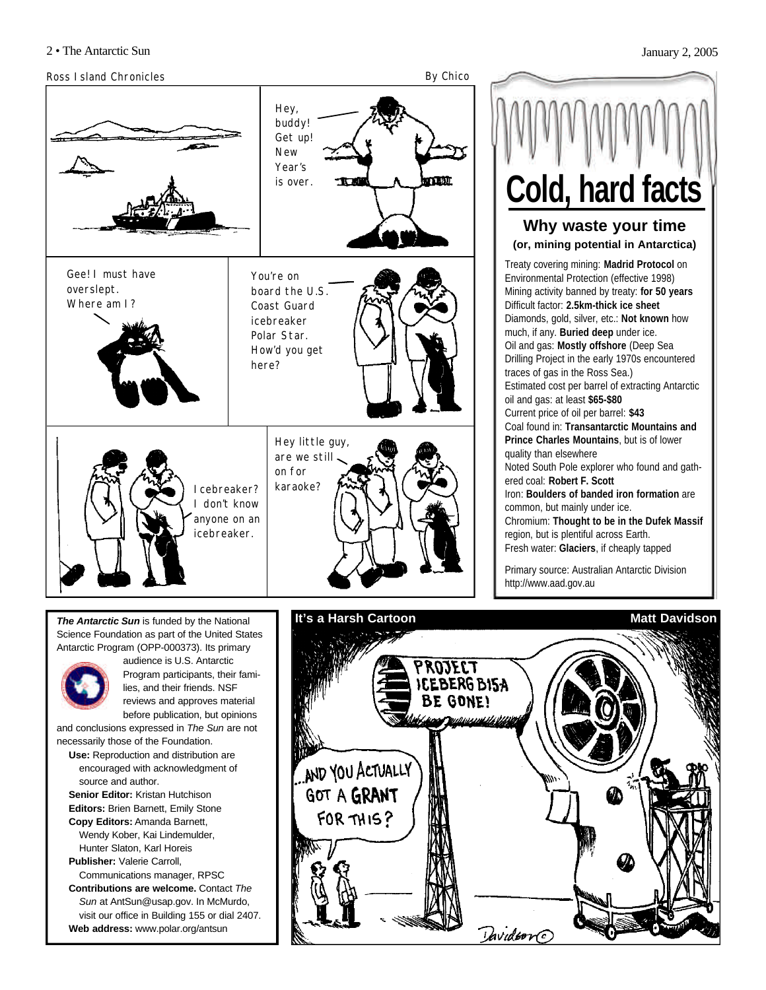#### Ross Island Chronicles **By Chico**



**Why waste your time (or, mining potential in Antarctica)** Treaty covering mining: **Madrid Protocol** on Environmental Protection (effective 1998) Mining activity banned by treaty: **for 50 years**  Difficult factor: **2.5km-thick ice sheet** Diamonds, gold, silver, etc.: **Not known** how much, if any. **Buried deep** under ice. Oil and gas: **Mostly offshore** (Deep Sea Drilling Project in the early 1970s encountered traces of gas in the Ross Sea.) Estimated cost per barrel of extracting Antarctic oil and gas: at least **\$65-\$80** Current price of oil per barrel: **\$43** Coal found in: **Transantarctic Mountains and Prince Charles Mountains**, but is of lower quality than elsewhere Noted South Pole explorer who found and gathered coal: **Robert F. Scott** Iron: **Boulders of banded iron formation** are common, but mainly under ice. Chromium: **Thought to be in the Dufek Massif** region, but is plentiful across Earth. Fresh water: **Glaciers**, if cheaply tapped Primary source: Australian Antarctic Division http://www.aad.gov.au **Cold, hard facts**

*The Antarctic Sun* is funded by the National Science Foundation as part of the United States Antarctic Program (OPP-000373). Its primary



audience is U.S. Antarctic Program participants, their families, and their friends. NSF reviews and approves material before publication, but opinions

and conclusions expressed in *The Sun* are not necessarily those of the Foundation.

**Use:** Reproduction and distribution are encouraged with acknowledgment of source and author.

**Senior Editor:** Kristan Hutchison **Editors:** Brien Barnett, Emily Stone **Copy Editors:** Amanda Barnett, Wendy Kober, Kai Lindemulder,

Hunter Slaton, Karl Horeis **Publisher:** Valerie Carroll,

Communications manager, RPSC **Contributions are welcome.** Contact *The Sun* at AntSun@usap.gov. In McMurdo,

visit our office in Building 155 or dial 2407. **Web address:** www.polar.org/antsun

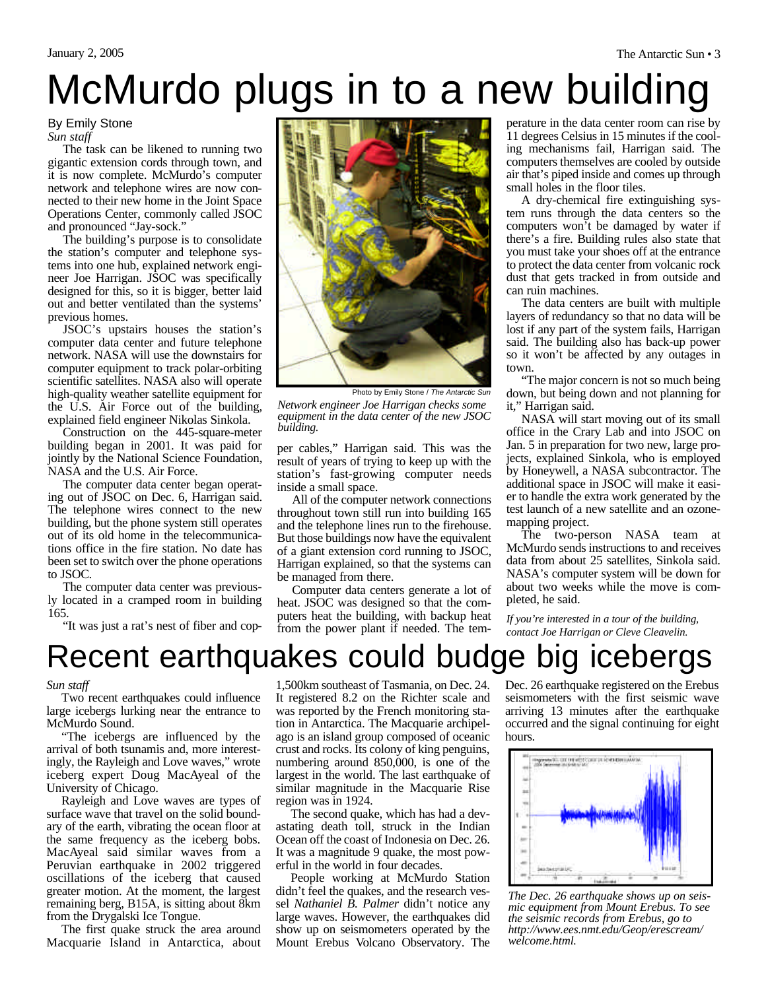## McMurdo plugs in to a new building

By Emily Stone *Sun staff*

The task can be likened to running two gigantic extension cords through town, and it is now complete. McMurdo's computer network and telephone wires are now connected to their new home in the Joint Space Operations Center, commonly called JSOC and pronounced "Jay-sock."

The building's purpose is to consolidate the station's computer and telephone systems into one hub, explained network engineer Joe Harrigan. JSOC was specifically designed for this, so it is bigger, better laid out and better ventilated than the systems' previous homes.

JSOC's upstairs houses the station's computer data center and future telephone network. NASA will use the downstairs for computer equipment to track polar-orbiting scientific satellites. NASA also will operate high-quality weather satellite equipment for the U.S. Air Force out of the building, explained field engineer Nikolas Sinkola.

Construction on the 445-square-meter building began in 2001. It was paid for jointly by the National Science Foundation, NASA and the U.S. Air Force.

The computer data center began operating out of JSOC on Dec. 6, Harrigan said. The telephone wires connect to the new building, but the phone system still operates out of its old home in the telecommunications office in the fire station. No date has been set to switch over the phone operations to JSOC.

The computer data center was previously located in a cramped room in building 165.

"It was just a rat's nest of fiber and cop-



*Network engineer Joe Harrigan checks some equipment in the data center of the new JSOC building.* Photo by Emily Stone / *The Antarctic Sun*

per cables," Harrigan said. This was the result of years of trying to keep up with the station's fast-growing computer needs inside a small space.

All of the computer network connections throughout town still run into building 165 and the telephone lines run to the firehouse. But those buildings now have the equivalent of a giant extension cord running to JSOC, Harrigan explained, so that the systems can be managed from there.

Computer data centers generate a lot of heat. JSOC was designed so that the computers heat the building, with backup heat from the power plant if needed. The tem-

perature in the data center room can rise by 11 degrees Celsius in 15 minutes if the cooling mechanisms fail, Harrigan said. The computers themselves are cooled by outside air that's piped inside and comes up through small holes in the floor tiles.

A dry-chemical fire extinguishing system runs through the data centers so the computers won't be damaged by water if there's a fire. Building rules also state that you must take your shoes off at the entrance to protect the data center from volcanic rock dust that gets tracked in from outside and can ruin machines.

The data centers are built with multiple layers of redundancy so that no data will be lost if any part of the system fails, Harrigan said. The building also has back-up power so it won't be affected by any outages in town.

"The major concern is not so much being down, but being down and not planning for it," Harrigan said.

NASA will start moving out of its small office in the Crary Lab and into JSOC on Jan. 5 in preparation for two new, large projects, explained Sinkola, who is employed by Honeywell, a NASA subcontractor. The additional space in JSOC will make it easier to handle the extra work generated by the test launch of a new satellite and an ozonemapping project.

The two-person NASA team at McMurdo sends instructions to and receives data from about 25 satellites, Sinkola said. NASA's computer system will be down for about two weeks while the move is completed, he said.

*If you're interested in a tour of the building, contact Joe Harrigan or Cleve Cleavelin.*

### Recent earthquakes could budge big icebergs

#### *Sun staff*

Two recent earthquakes could influence large icebergs lurking near the entrance to McMurdo Sound.

"The icebergs are influenced by the arrival of both tsunamis and, more interestingly, the Rayleigh and Love waves," wrote iceberg expert Doug MacAyeal of the University of Chicago.

Rayleigh and Love waves are types of surface wave that travel on the solid boundary of the earth, vibrating the ocean floor at the same frequency as the iceberg bobs. MacAyeal said similar waves from a Peruvian earthquake in 2002 triggered oscillations of the iceberg that caused greater motion. At the moment, the largest remaining berg, B15A, is sitting about 8km from the Drygalski Ice Tongue.

The first quake struck the area around Macquarie Island in Antarctica, about

1,500km southeast of Tasmania, on Dec. 24. It registered 8.2 on the Richter scale and was reported by the French monitoring station in Antarctica. The Macquarie archipelago is an island group composed of oceanic crust and rocks. Its colony of king penguins, numbering around 850,000, is one of the largest in the world. The last earthquake of similar magnitude in the Macquarie Rise region was in 1924.

The second quake, which has had a devastating death toll, struck in the Indian Ocean off the coast of Indonesia on Dec. 26. It was a magnitude 9 quake, the most powerful in the world in four decades.

People working at McMurdo Station didn't feel the quakes, and the research vessel *Nathaniel B. Palmer* didn't notice any large waves. However, the earthquakes did show up on seismometers operated by the Mount Erebus Volcano Observatory. The

Dec. 26 earthquake registered on the Erebus seismometers with the first seismic wave arriving 13 minutes after the earthquake occurred and the signal continuing for eight hours.



*The Dec. 26 earthquake shows up on seismic equipment from Mount Erebus. To see the seismic records from Erebus, go to http://www.ees.nmt.edu/Geop/erescream/ welcome.html.*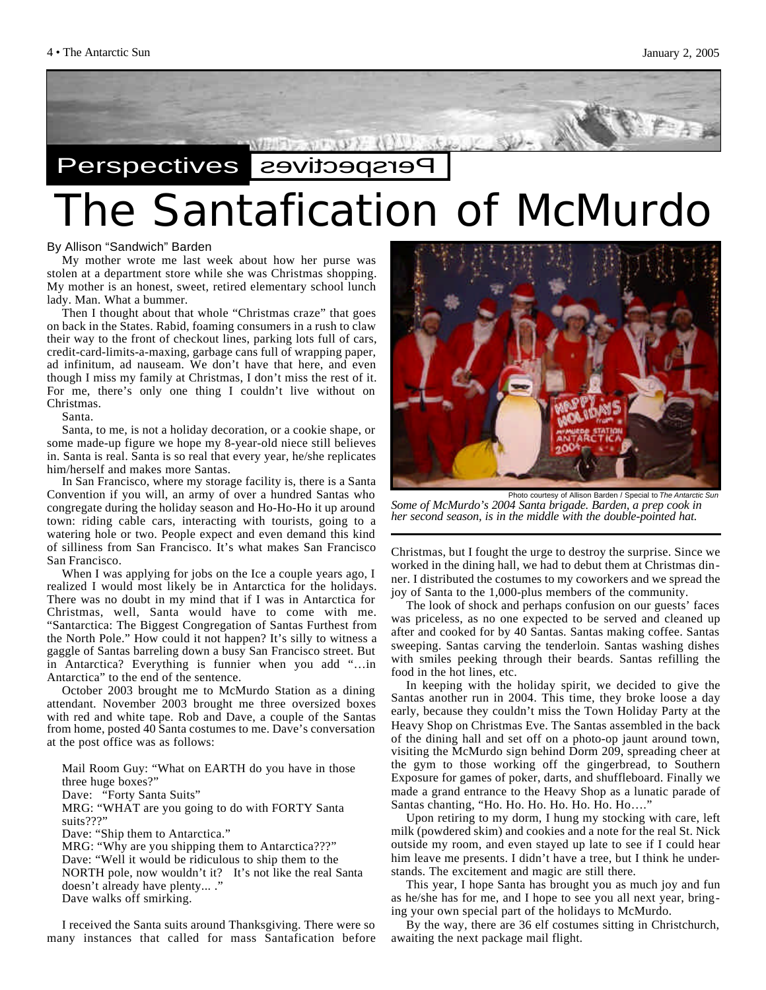

## The Santafication of McMurdo Perspectives **Belief**

#### By Allison "Sandwich" Barden

My mother wrote me last week about how her purse was stolen at a department store while she was Christmas shopping. My mother is an honest, sweet, retired elementary school lunch lady. Man. What a bummer.

Then I thought about that whole "Christmas craze" that goes on back in the States. Rabid, foaming consumers in a rush to claw their way to the front of checkout lines, parking lots full of cars, credit-card-limits-a-maxing, garbage cans full of wrapping paper, ad infinitum, ad nauseam. We don't have that here, and even though I miss my family at Christmas, I don't miss the rest of it. For me, there's only one thing I couldn't live without on Christmas.

#### Santa.

Santa, to me, is not a holiday decoration, or a cookie shape, or some made-up figure we hope my 8-year-old niece still believes in. Santa is real. Santa is so real that every year, he/she replicates him/herself and makes more Santas.

In San Francisco, where my storage facility is, there is a Santa Convention if you will, an army of over a hundred Santas who congregate during the holiday season and Ho-Ho-Ho it up around town: riding cable cars, interacting with tourists, going to a watering hole or two. People expect and even demand this kind of silliness from San Francisco. It's what makes San Francisco San Francisco.

When I was applying for jobs on the Ice a couple years ago, I realized I would most likely be in Antarctica for the holidays. There was no doubt in my mind that if I was in Antarctica for Christmas, well, Santa would have to come with me. "Santarctica: The Biggest Congregation of Santas Furthest from the North Pole." How could it not happen? It's silly to witness a gaggle of Santas barreling down a busy San Francisco street. But in Antarctica? Everything is funnier when you add "…in Antarctica" to the end of the sentence.

October 2003 brought me to McMurdo Station as a dining attendant. November 2003 brought me three oversized boxes with red and white tape. Rob and Dave, a couple of the Santas from home, posted 40 Santa costumes to me. Dave's conversation at the post office was as follows:

Mail Room Guy: "What on EARTH do you have in those three huge boxes?" Dave: "Forty Santa Suits" MRG: "WHAT are you going to do with FORTY Santa suits???" Dave: "Ship them to Antarctica." MRG: "Why are you shipping them to Antarctica???" Dave: "Well it would be ridiculous to ship them to the NORTH pole, now wouldn't it? It's not like the real Santa doesn't already have plenty... ." Dave walks off smirking.

I received the Santa suits around Thanksgiving. There were so many instances that called for mass Santafication before



*Some of McMurdo's 2004 Santa brigade. Barden, a prep cook in her second season, is in the middle with the double-pointed hat.*

Christmas, but I fought the urge to destroy the surprise. Since we worked in the dining hall, we had to debut them at Christmas dinner. I distributed the costumes to my coworkers and we spread the joy of Santa to the 1,000-plus members of the community.

The look of shock and perhaps confusion on our guests' faces was priceless, as no one expected to be served and cleaned up after and cooked for by 40 Santas. Santas making coffee. Santas sweeping. Santas carving the tenderloin. Santas washing dishes with smiles peeking through their beards. Santas refilling the food in the hot lines, etc.

In keeping with the holiday spirit, we decided to give the Santas another run in 2004. This time, they broke loose a day early, because they couldn't miss the Town Holiday Party at the Heavy Shop on Christmas Eve. The Santas assembled in the back of the dining hall and set off on a photo-op jaunt around town, visiting the McMurdo sign behind Dorm 209, spreading cheer at the gym to those working off the gingerbread, to Southern Exposure for games of poker, darts, and shuffleboard. Finally we made a grand entrance to the Heavy Shop as a lunatic parade of Santas chanting, "Ho. Ho. Ho. Ho. Ho. Ho. Ho…."

Upon retiring to my dorm, I hung my stocking with care, left milk (powdered skim) and cookies and a note for the real St. Nick outside my room, and even stayed up late to see if I could hear him leave me presents. I didn't have a tree, but I think he understands. The excitement and magic are still there.

This year, I hope Santa has brought you as much joy and fun as he/she has for me, and I hope to see you all next year, bringing your own special part of the holidays to McMurdo.

By the way, there are 36 elf costumes sitting in Christchurch, awaiting the next package mail flight.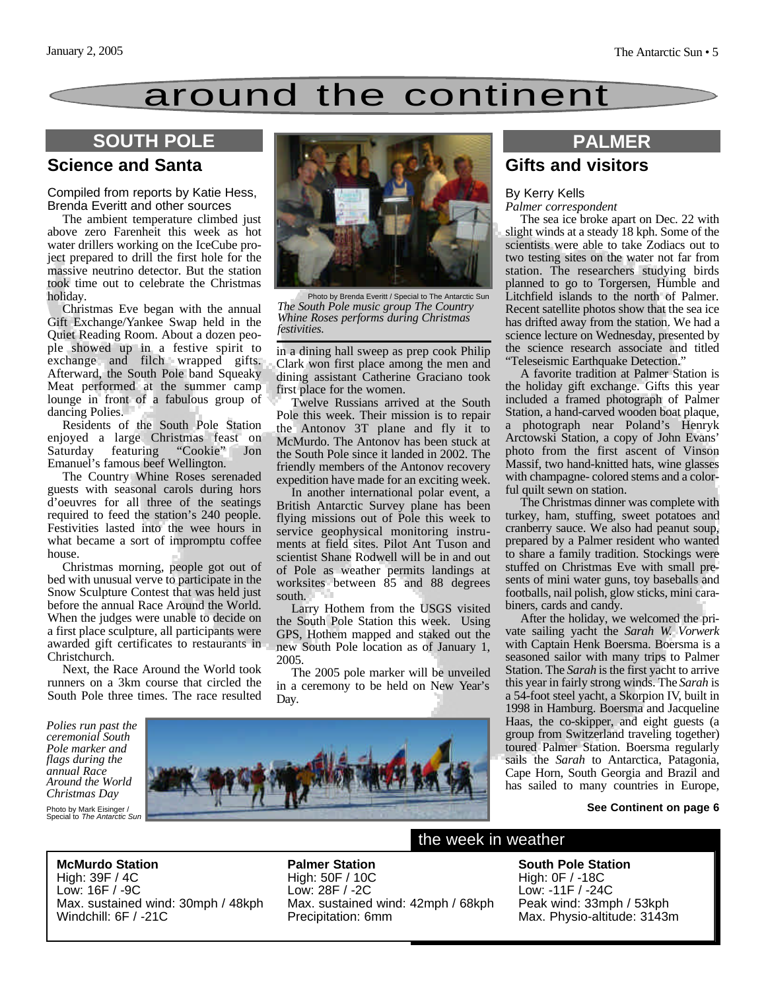### around the continent

#### **Science and Santa**

Compiled from reports by Katie Hess, Brenda Everitt and other sources

The ambient temperature climbed just above zero Farenheit this week as hot water drillers working on the IceCube project prepared to drill the first hole for the massive neutrino detector. But the station took time out to celebrate the Christmas holiday.

Christmas Eve began with the annual Gift Exchange/Yankee Swap held in the Quiet Reading Room. About a dozen people showed up in a festive spirit to exchange and filch wrapped gifts. Afterward, the South Pole band Squeaky Meat performed at the summer camp lounge in front of a fabulous group of dancing Polies.

Residents of the South Pole Station enjoyed a large Christmas feast on Saturday featuring "Cookie" Jon Emanuel's famous beef Wellington.

The Country Whine Roses serenaded guests with seasonal carols during hors d'oeuvres for all three of the seatings required to feed the station's 240 people. Festivities lasted into the wee hours in what became a sort of impromptu coffee house.

Christmas morning, people got out of bed with unusual verve to participate in the Snow Sculpture Contest that was held just before the annual Race Around the World. When the judges were unable to decide on a first place sculpture, all participants were awarded gift certificates to restaurants in Christchurch.

Next, the Race Around the World took runners on a 3km course that circled the South Pole three times. The race resulted

*flags during the annual Race*

*Christmas Day*



Photo by Brenda Everitt / Special to The Antarctic Sun *The South Pole music group The Country Whine Roses performs during Christmas festivities.*

in a dining hall sweep as prep cook Philip Clark won first place among the men and dining assistant Catherine Graciano took first place for the women.

Twelve Russians arrived at the South Pole this week. Their mission is to repair the Antonov 3T plane and fly it to McMurdo. The Antonov has been stuck at the South Pole since it landed in 2002. The friendly members of the Antonov recovery expedition have made for an exciting week.

In another international polar event, a British Antarctic Survey plane has been flying missions out of Pole this week to service geophysical monitoring instruments at field sites. Pilot Ant Tuson and scientist Shane Rodwell will be in and out of Pole as weather permits landings at worksites between 85 and 88 degrees south.

Larry Hothem from the USGS visited the South Pole Station this week. Using GPS, Hothem mapped and staked out the new South Pole location as of January 1, 2005.

The 2005 pole marker will be unveiled in a ceremony to be held on New Year's Day.



# **Gifts and visitors**

#### By Kerry Kells *Palmer correspondent*

The sea ice broke apart on Dec. 22 with slight winds at a steady 18 kph. Some of the scientists were able to take Zodiacs out to two testing sites on the water not far from station. The researchers studying birds planned to go to Torgersen, Humble and Litchfield islands to the north of Palmer. Recent satellite photos show that the sea ice has drifted away from the station. We had a science lecture on Wednesday, presented by the science research associate and titled "Teleseismic Earthquake Detection."

A favorite tradition at Palmer Station is the holiday gift exchange. Gifts this year included a framed photograph of Palmer Station, a hand-carved wooden boat plaque, a photograph near Poland's Henryk Arctowski Station, a copy of John Evans' photo from the first ascent of Vinson Massif, two hand-knitted hats, wine glasses with champagne- colored stems and a colorful quilt sewn on station.

The Christmas dinner was complete with turkey, ham, stuffing, sweet potatoes and cranberry sauce. We also had peanut soup, prepared by a Palmer resident who wanted to share a family tradition. Stockings were stuffed on Christmas Eve with small presents of mini water guns, toy baseballs and footballs, nail polish, glow sticks, mini carabiners, cards and candy.

After the holiday, we welcomed the private sailing yacht the *Sarah W. Vorwerk* with Captain Henk Boersma. Boersma is a seasoned sailor with many trips to Palmer Station. The *Sarah* is the first yacht to arrive this year in fairly strong winds. The *Sarah* is a 54-foot steel yacht, a Skorpion IV, built in 1998 in Hamburg. Boersma and Jacqueline Haas, the co-skipper, and eight guests (a group from Switzerland traveling together) toured Palmer Station. Boersma regularly sails the *Sarah* to Antarctica, Patagonia, Cape Horn, South Georgia and Brazil and has sailed to many countries in Europe,

#### **See Continent on page 6**

**McMurdo Station** High: 39F / 4C Low: 16F / -9C Max. sustained wind: 30mph / 48kph Windchill: 6F / -21C

**Palmer Station** High: 50F / 10C Low: 28F / -2C Max. sustained wind: 42mph / 68kph Precipitation: 6mm

the week in weather

#### **South Pole Station** High: 0F / -18C Low: -11F / -24C Peak wind: 33mph / 53kph Max. Physio-altitude: 3143m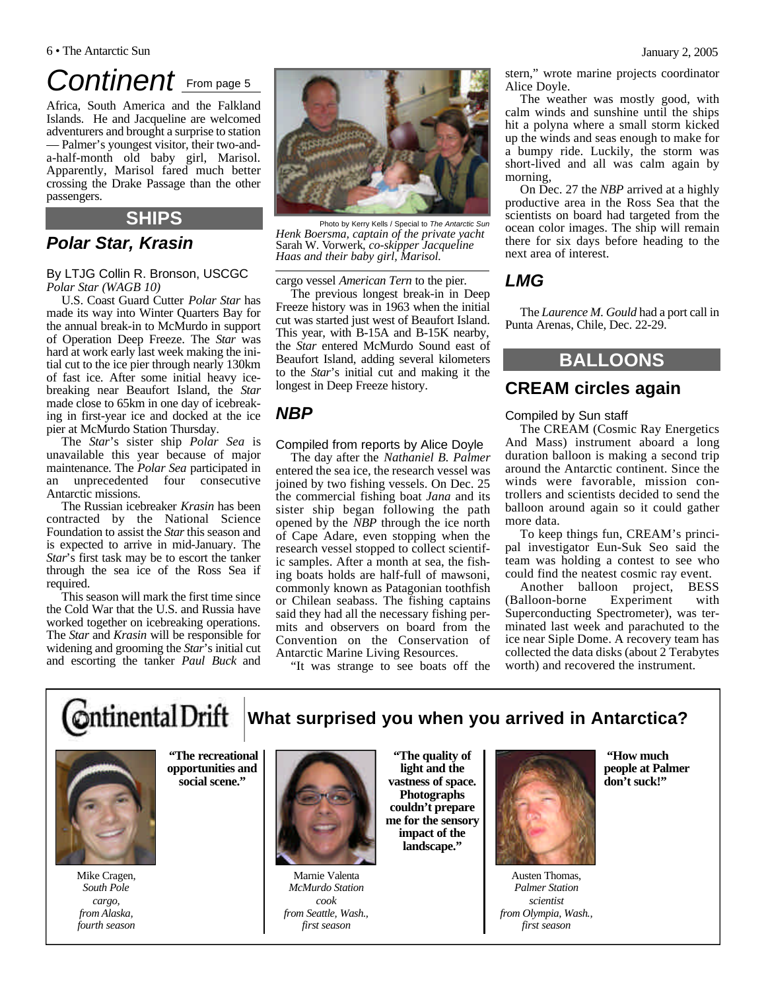#### 6 • The Antarctic Sun January 2, 2005

### *Continent* From page 5

Africa, South America and the Falkland Islands. He and Jacqueline are welcomed adventurers and brought a surprise to station — Palmer's youngest visitor, their two-anda-half-month old baby girl, Marisol. Apparently, Marisol fared much better crossing the Drake Passage than the other passengers.

#### **SHIPS**

### *Polar Star, Krasin*

By LTJG Collin R. Bronson, USCGC *Polar Star (WAGB 10)*

U.S. Coast Guard Cutter *Polar Star* has made its way into Winter Quarters Bay for the annual break-in to McMurdo in support of Operation Deep Freeze. The *Star* was hard at work early last week making the initial cut to the ice pier through nearly 130km of fast ice. After some initial heavy icebreaking near Beaufort Island, the *Star* made close to 65km in one day of icebreaking in first-year ice and docked at the ice pier at McMurdo Station Thursday.

The *Star*'s sister ship *Polar Sea* is unavailable this year because of major maintenance. The *Polar Sea* participated in an unprecedented four consecutive Antarctic missions.

The Russian icebreaker *Krasin* has been contracted by the National Science Foundation to assist the *Star* this season and is expected to arrive in mid-January. The *Star*'s first task may be to escort the tanker through the sea ice of the Ross Sea if required.

This season will mark the first time since the Cold War that the U.S. and Russia have worked together on icebreaking operations. The *Star* and *Krasin* will be responsible for widening and grooming the *Star*'s initial cut and escorting the tanker *Paul Buck* and



Photo by Kerry Kells / Special to *The Antarctic Sun Henk Boersma, captain of the private yacht* Sarah W. Vorwerk*, co-skipper Jacqueline Haas and their baby girl, Marisol.*

cargo vessel *American Tern* to the pier.

The previous longest break-in in Deep Freeze history was in 1963 when the initial cut was started just west of Beaufort Island. This year, with B-15A and B-15K nearby, the *Star* entered McMurdo Sound east of Beaufort Island, adding several kilometers to the *Star*'s initial cut and making it the longest in Deep Freeze history.

#### *NBP*

#### Compiled from reports by Alice Doyle

The day after the *Nathaniel B. Palmer* entered the sea ice, the research vessel was joined by two fishing vessels. On Dec. 25 the commercial fishing boat *Jana* and its sister ship began following the path opened by the *NBP* through the ice north of Cape Adare, even stopping when the research vessel stopped to collect scientific samples. After a month at sea, the fishing boats holds are half-full of mawsoni, commonly known as Patagonian toothfish or Chilean seabass. The fishing captains said they had all the necessary fishing permits and observers on board from the Convention on the Conservation of Antarctic Marine Living Resources.

"It was strange to see boats off the

stern," wrote marine projects coordinator Alice Doyle.

The weather was mostly good, with calm winds and sunshine until the ships hit a polyna where a small storm kicked up the winds and seas enough to make for a bumpy ride. Luckily, the storm was short-lived and all was calm again by morning,

On Dec. 27 the *NBP* arrived at a highly productive area in the Ross Sea that the scientists on board had targeted from the ocean color images. The ship will remain there for six days before heading to the next area of interest.

#### *LMG*

The *Laurence M. Gould* had a port call in Punta Arenas, Chile, Dec. 22-29.

#### **BALLOONS**

#### **CREAM circles again**

#### Compiled by Sun staff

The CREAM (Cosmic Ray Energetics And Mass) instrument aboard a long duration balloon is making a second trip around the Antarctic continent. Since the winds were favorable, mission controllers and scientists decided to send the balloon around again so it could gather more data.

To keep things fun, CREAM's principal investigator Eun-Suk Seo said the team was holding a contest to see who could find the neatest cosmic ray event.

Another balloon project, BESS (Balloon-borne Experiment with Superconducting Spectrometer), was terminated last week and parachuted to the ice near Siple Dome. A recovery team has collected the data disks (about 2 Terabytes worth) and recovered the instrument.

**Ontinental Drift What surprised you when you arrived in Antarctica?**



**"The recreational opportunities and social scene."** 

Mike Cragen, *South Pole cargo, from Alaska, fourth season*



Marnie Valenta *McMurdo Station cook from Seattle, Wash., first season*

**"The quality of light and the vastness of space. Photographs couldn't prepare me for the sensory impact of the landscape."**



Austen Thomas, *Palmer Station scientist from Olympia, Wash., first season*

**"How much people at Palmer don't suck!"**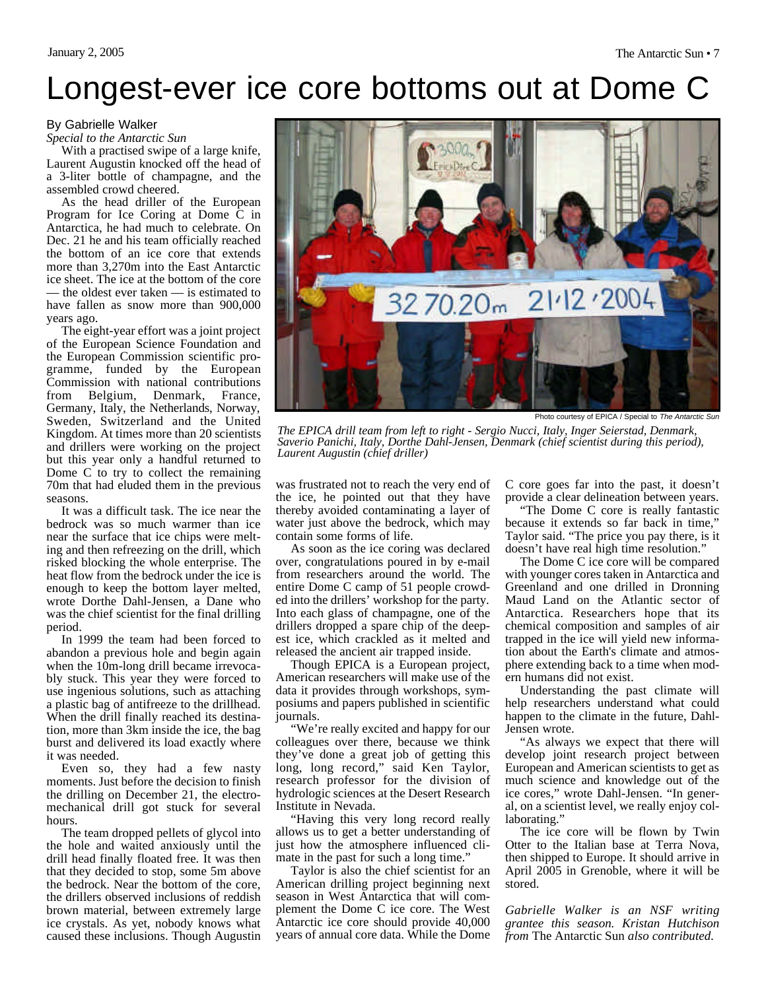## Longest-ever ice core bottoms out at Dome C

#### By Gabrielle Walker

*Special to the Antarctic Sun*

With a practised swipe of a large knife, Laurent Augustin knocked off the head of a 3-liter bottle of champagne, and the assembled crowd cheered.

As the head driller of the European Program for Ice Coring at Dome C in Antarctica, he had much to celebrate. On Dec. 21 he and his team officially reached the bottom of an ice core that extends more than 3,270m into the East Antarctic ice sheet. The ice at the bottom of the core — the oldest ever taken — is estimated to have fallen as snow more than 900,000 years ago.

The eight-year effort was a joint project of the European Science Foundation and the European Commission scientific programme, funded by the European Commission with national contributions from Belgium, Denmark, France, Germany, Italy, the Netherlands, Norway, Sweden, Switzerland and the United Kingdom. At times more than 20 scientists and drillers were working on the project but this year only a handful returned to Dome C to try to collect the remaining 70m that had eluded them in the previous seasons.

It was a difficult task. The ice near the bedrock was so much warmer than ice near the surface that ice chips were melting and then refreezing on the drill, which risked blocking the whole enterprise. The heat flow from the bedrock under the ice is enough to keep the bottom layer melted, wrote Dorthe Dahl-Jensen, a Dane who was the chief scientist for the final drilling period.

In 1999 the team had been forced to abandon a previous hole and begin again when the 10m-long drill became irrevocably stuck. This year they were forced to use ingenious solutions, such as attaching a plastic bag of antifreeze to the drillhead. When the drill finally reached its destination, more than 3km inside the ice, the bag burst and delivered its load exactly where it was needed.

Even so, they had a few nasty moments. Just before the decision to finish the drilling on December 21, the electromechanical drill got stuck for several hours.

The team dropped pellets of glycol into the hole and waited anxiously until the drill head finally floated free. It was then that they decided to stop, some 5m above the bedrock. Near the bottom of the core, the drillers observed inclusions of reddish brown material, between extremely large ice crystals. As yet, nobody knows what caused these inclusions. Though Augustin



Photo courtesy of EPICA / Special to *The Antarctic Sun*

*The EPICA drill team from left to right - Sergio Nucci, Italy, Inger Seierstad, Denmark, Saverio Panichi, Italy, Dorthe Dahl-Jensen, Denmark (chief scientist during this period), Laurent Augustin (chief driller)*

was frustrated not to reach the very end of the ice, he pointed out that they have thereby avoided contaminating a layer of water just above the bedrock, which may contain some forms of life.

As soon as the ice coring was declared over, congratulations poured in by e-mail from researchers around the world. The entire Dome C camp of 51 people crowded into the drillers' workshop for the party. Into each glass of champagne, one of the drillers dropped a spare chip of the deepest ice, which crackled as it melted and released the ancient air trapped inside.

Though EPICA is a European project, American researchers will make use of the data it provides through workshops, symposiums and papers published in scientific journals.

"We're really excited and happy for our colleagues over there, because we think they've done a great job of getting this long, long record," said Ken Taylor, research professor for the division of hydrologic sciences at the Desert Research Institute in Nevada.

"Having this very long record really allows us to get a better understanding of just how the atmosphere influenced climate in the past for such a long time."

Taylor is also the chief scientist for an American drilling project beginning next season in West Antarctica that will complement the Dome C ice core. The West Antarctic ice core should provide 40,000 years of annual core data. While the Dome C core goes far into the past, it doesn't provide a clear delineation between years.

"The Dome C core is really fantastic because it extends so far back in time," Taylor said. "The price you pay there, is it doesn't have real high time resolution."

The Dome C ice core will be compared with younger cores taken in Antarctica and Greenland and one drilled in Dronning Maud Land on the Atlantic sector of Antarctica. Researchers hope that its chemical composition and samples of air trapped in the ice will yield new information about the Earth's climate and atmosphere extending back to a time when modern humans did not exist.

Understanding the past climate will help researchers understand what could happen to the climate in the future, Dahl-Jensen wrote.

"As always we expect that there will develop joint research project between European and American scientists to get as much science and knowledge out of the ice cores," wrote Dahl-Jensen. "In general, on a scientist level, we really enjoy collaborating."

The ice core will be flown by Twin Otter to the Italian base at Terra Nova, then shipped to Europe. It should arrive in April 2005 in Grenoble, where it will be stored.

*Gabrielle Walker is an NSF writing grantee this season. Kristan Hutchison from* The Antarctic Sun *also contributed.*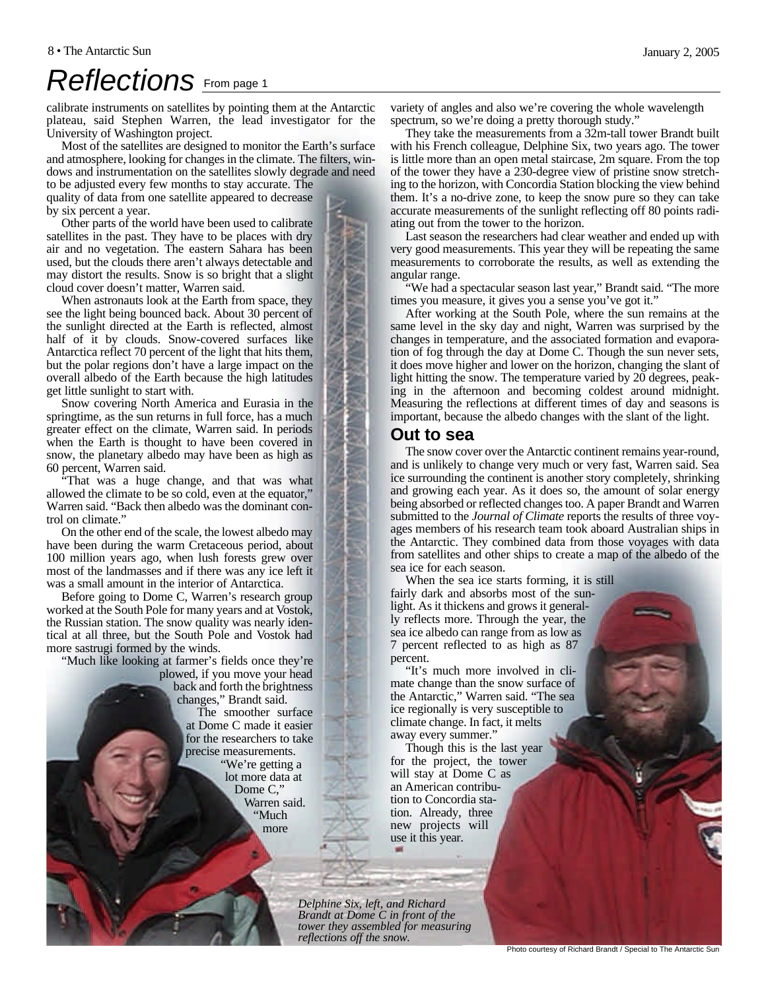## *Reflections* From page 1

calibrate instruments on satellites by pointing them at the Antarctic plateau, said Stephen Warren, the lead investigator for the University of Washington project.

Most of the satellites are designed to monitor the Earth's surface and atmosphere, looking for changes in the climate. The filters, windows and instrumentation on the satellites slowly degrade and need

to be adjusted every few months to stay accurate. The quality of data from one satellite appeared to decrease by six percent a year.

Other parts of the world have been used to calibrate satellites in the past. They have to be places with dry air and no vegetation. The eastern Sahara has been used, but the clouds there aren't always detectable and may distort the results. Snow is so bright that a slight cloud cover doesn't matter, Warren said.

When astronauts look at the Earth from space, they see the light being bounced back. About 30 percent of the sunlight directed at the Earth is reflected, almost half of it by clouds. Snow-covered surfaces like Antarctica reflect 70 percent of the light that hits them, but the polar regions don't have a large impact on the overall albedo of the Earth because the high latitudes get little sunlight to start with.

Snow covering North America and Eurasia in the springtime, as the sun returns in full force, has a much greater effect on the climate, Warren said. In periods when the Earth is thought to have been covered in snow, the planetary albedo may have been as high as 60 percent, Warren said.

"That was a huge change, and that was what allowed the climate to be so cold, even at the equator," Warren said. "Back then albedo was the dominant control on climate."

On the other end of the scale, the lowest albedo may have been during the warm Cretaceous period, about 100 million years ago, when lush forests grew over most of the landmasses and if there was any ice left it was a small amount in the interior of Antarctica.

Before going to Dome C, Warren's research group worked at the South Pole for many years and at Vostok, the Russian station. The snow quality was nearly identical at all three, but the South Pole and Vostok had more sastrugi formed by the winds.

"Much like looking at farmer's fields once they're plowed, if you move your head back and forth the brightness changes," Brandt said. The smoother surface at Dome C made it easier for the researchers to take precise measurements. "We're getting a lot more data at Dome C," Warren said. "Much more

variety of angles and also we're covering the whole wavelength spectrum, so we're doing a pretty thorough study."

They take the measurements from a 32m-tall tower Brandt built with his French colleague, Delphine Six, two years ago. The tower is little more than an open metal staircase, 2m square. From the top of the tower they have a 230-degree view of pristine snow stretching to the horizon, with Concordia Station blocking the view behind them. It's a no-drive zone, to keep the snow pure so they can take accurate measurements of the sunlight reflecting off 80 points radiating out from the tower to the horizon.

Last season the researchers had clear weather and ended up with very good measurements. This year they will be repeating the same measurements to corroborate the results, as well as extending the angular range.

"We had a spectacular season last year," Brandt said. "The more times you measure, it gives you a sense you've got it."

After working at the South Pole, where the sun remains at the same level in the sky day and night, Warren was surprised by the changes in temperature, and the associated formation and evaporation of fog through the day at Dome C. Though the sun never sets, it does move higher and lower on the horizon, changing the slant of light hitting the snow. The temperature varied by 20 degrees, peaking in the afternoon and becoming coldest around midnight. Measuring the reflections at different times of day and seasons is important, because the albedo changes with the slant of the light.

#### **Out to sea**

The snow cover over the Antarctic continent remains year-round, and is unlikely to change very much or very fast, Warren said. Sea ice surrounding the continent is another story completely, shrinking and growing each year. As it does so, the amount of solar energy being absorbed or reflected changes too. A paper Brandt and Warren submitted to the *Journal of Climate* reports the results of three voyages members of his research team took aboard Australian ships in the Antarctic. They combined data from those voyages with data from satellites and other ships to create a map of the albedo of the sea ice for each season.

When the sea ice starts forming, it is still fairly dark and absorbs most of the sunlight. As it thickens and grows it generally reflects more. Through the year, the sea ice albedo can range from as low as 7 percent reflected to as high as 87 percent.

"It's much more involved in climate change than the snow surface of the Antarctic," Warren said. "The sea ice regionally is very susceptible to climate change. In fact, it melts away every summer."

Though this is the last year for the project, the tower will stay at Dome C as an American contribution to Concordia station. Already, three new projects will use it this year.

*Delphine Six, left, and Richard Brandt at Dome C in front of the tower they assembled for measuring reflections off the snow.*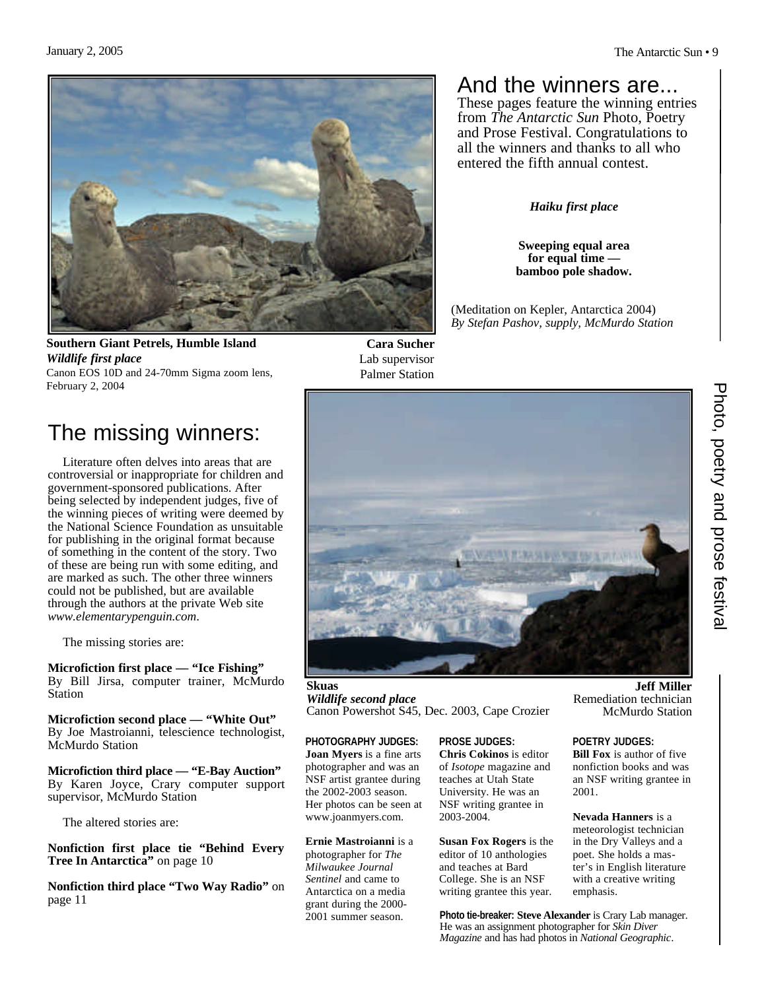

**Southern Giant Petrels, Humble Island** *Wildlife first place* Canon EOS 10D and 24-70mm Sigma zoom lens, February 2, 2004

**Cara Sucher** Lab supervisor Palmer Station

### And the winners are...

These pages feature the winning entries from *The Antarctic Sun* Photo, Poetry and Prose Festival. Congratulations to all the winners and thanks to all who entered the fifth annual contest.

*Haiku first place*

**Sweeping equal area for equal time bamboo pole shadow.**

(Meditation on Kepler, Antarctica 2004) *By Stefan Pashov, supply, McMurdo Station*



**Skuas** *Wildlife second place* Canon Powershot S45, Dec. 2003, Cape Crozier

**PHOTOGRAPHY JUDGES: Joan Myers** is a fine arts photographer and was an NSF artist grantee during the 2002-2003 season. Her photos can be seen at www.joanmyers.com.

**Ernie Mastroianni** is a photographer for *The Milwaukee Journal Sentinel* and came to Antarctica on a media grant during the 2000- 2001 summer season.

**PROSE JUDGES: Chris Cokinos** is editor of *Isotope* magazine and teaches at Utah State University. He was an NSF writing grantee in 2003-2004.

**Susan Fox Rogers** is the editor of 10 anthologies and teaches at Bard College. She is an NSF writing grantee this year.

**Photo tie-breaker: Steve Alexander** is Crary Lab manager. He was an assignment photographer for *Skin Diver Magazine* and has had photos in *National Geographic*.

Photo, poetry and prose festiva Photo, poetry and prose festival

**Jeff Miller**

Remediation technician McMurdo Station

**POETRY JUDGES: Bill Fox** is author of five nonfiction books and was an NSF writing grantee in

**Nevada Hanners** is a meteorologist technician in the Dry Valleys and a poet. She holds a master's in English literature with a creative writing

2001.

emphasis.

### The missing winners:

Literature often delves into areas that are controversial or inappropriate for children and government-sponsored publications. After being selected by independent judges, five of the winning pieces of writing were deemed by the National Science Foundation as unsuitable for publishing in the original format because of something in the content of the story. Two of these are being run with some editing, and are marked as such. The other three winners could not be published, but are available through the authors at the private Web site *www.elementarypenguin.com*.

The missing stories are:

**Microfiction first place — "Ice Fishing"** By Bill Jirsa, computer trainer, McMurdo Station

**Microfiction second place — "White Out"** By Joe Mastroianni, telescience technologist, McMurdo Station

**Microfiction third place — "E-Bay Auction"** By Karen Joyce, Crary computer support supervisor, McMurdo Station

The altered stories are:

**Nonfiction first place tie "Behind Every Tree In Antarctica"** on page 10

**Nonfiction third place "Two Way Radio"** on page 11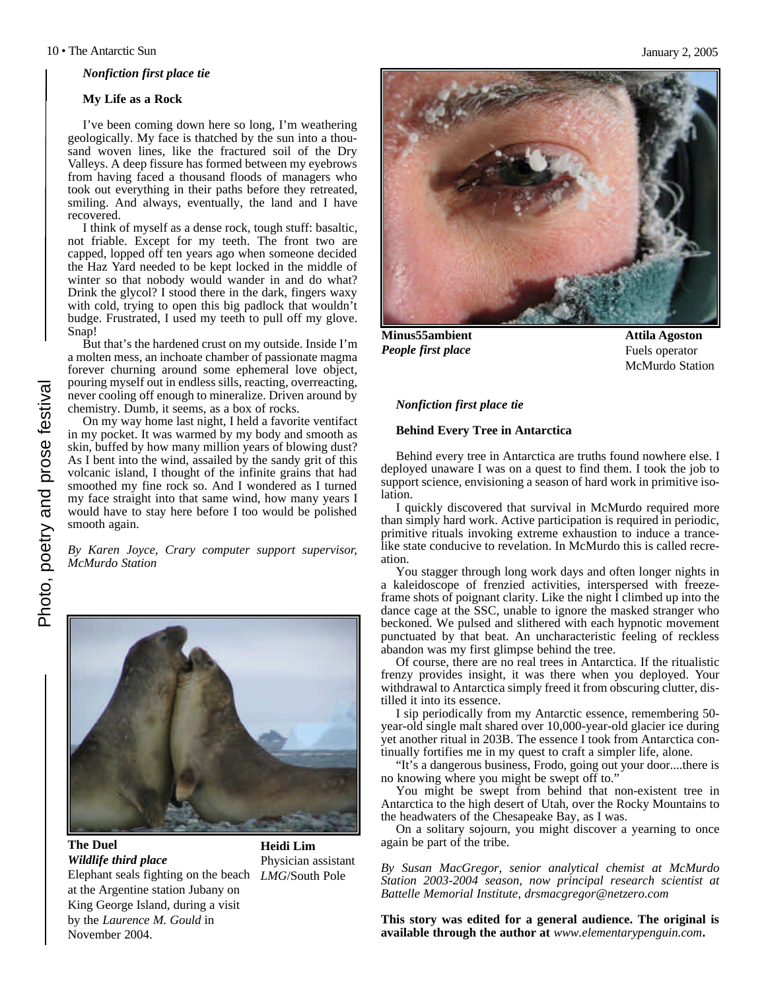*Nonfiction first place tie* 

#### **My Life as a Rock**

I've been coming down here so long, I'm weathering geologically. My face is thatched by the sun into a thousand woven lines, like the fractured soil of the Dry Valleys. A deep fissure has formed between my eyebrows from having faced a thousand floods of managers who took out everything in their paths before they retreated, smiling. And always, eventually, the land and I have recovered.

I think of myself as a dense rock, tough stuff: basaltic, not friable. Except for my teeth. The front two are capped, lopped off ten years ago when someone decided the Haz Yard needed to be kept locked in the middle of winter so that nobody would wander in and do what? Drink the glycol? I stood there in the dark, fingers waxy with cold, trying to open this big padlock that wouldn't budge. Frustrated, I used my teeth to pull off my glove. Snap!

But that's the hardened crust on my outside. Inside I'm a molten mess, an inchoate chamber of passionate magma forever churning around some ephemeral love object, pouring myself out in endless sills, reacting, overreacting, never cooling off enough to mineralize. Driven around by chemistry. Dumb, it seems, as a box of rocks.

On my way home last night, I held a favorite ventifact in my pocket. It was warmed by my body and smooth as skin, buffed by how many million years of blowing dust? As I bent into the wind, assailed by the sandy grit of this volcanic island, I thought of the infinite grains that had smoothed my fine rock so. And I wondered as I turned my face straight into that same wind, how many years I would have to stay here before I too would be polished smooth again.

*By Karen Joyce, Crary computer support supervisor, McMurdo Station*



#### **The Duel** *Wildlife third place*

Elephant seals fighting on the beach *LMG*/South Pole at the Argentine station Jubany on King George Island, during a visit by the *Laurence M. Gould* in November 2004.

**Heidi Lim** Physician assistant



**Minus55ambient** *People first place*

**Attila Agoston** Fuels operator McMurdo Station

#### *Nonfiction first place tie*

#### **Behind Every Tree in Antarctica**

Behind every tree in Antarctica are truths found nowhere else. I deployed unaware I was on a quest to find them. I took the job to support science, envisioning a season of hard work in primitive isolation.

I quickly discovered that survival in McMurdo required more than simply hard work. Active participation is required in periodic, primitive rituals invoking extreme exhaustion to induce a trancelike state conducive to revelation. In McMurdo this is called recreation.

You stagger through long work days and often longer nights in a kaleidoscope of frenzied activities, interspersed with freezeframe shots of poignant clarity. Like the night I climbed up into the dance cage at the SSC, unable to ignore the masked stranger who beckoned. We pulsed and slithered with each hypnotic movement punctuated by that beat. An uncharacteristic feeling of reckless abandon was my first glimpse behind the tree.

Of course, there are no real trees in Antarctica. If the ritualistic frenzy provides insight, it was there when you deployed. Your withdrawal to Antarctica simply freed it from obscuring clutter, distilled it into its essence.

I sip periodically from my Antarctic essence, remembering 50 year-old single malt shared over 10,000-year-old glacier ice during yet another ritual in 203B. The essence I took from Antarctica continually fortifies me in my quest to craft a simpler life, alone.

"It's a dangerous business, Frodo, going out your door....there is no knowing where you might be swept off to."

You might be swept from behind that non-existent tree in Antarctica to the high desert of Utah, over the Rocky Mountains to the headwaters of the Chesapeake Bay, as I was.

On a solitary sojourn, you might discover a yearning to once again be part of the tribe.

*By Susan MacGregor, senior analytical chemist at McMurdo Station 2003-2004 season, now principal research scientist at Battelle Memorial Institute, drsmacgregor@netzero.com*

**This story was edited for a general audience. The original is available through the author at** *www.elementarypenguin.com***.**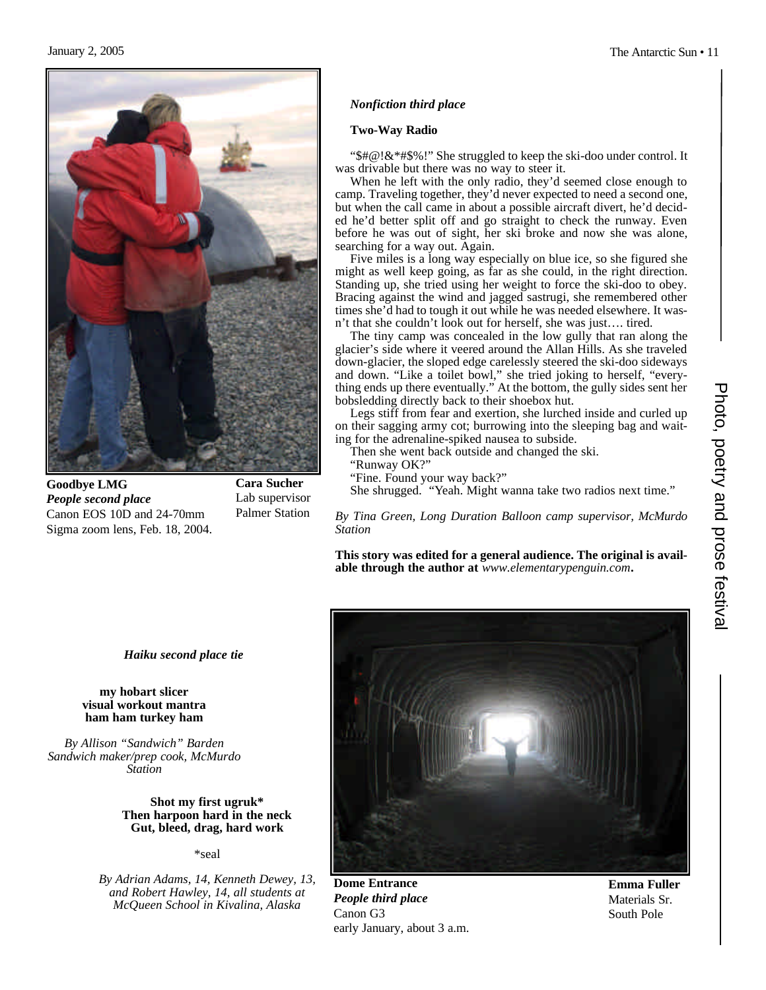

**Goodbye LMG** *People second place* Canon EOS 10D and 24-70mm Sigma zoom lens, Feb. 18, 2004.

**Cara Sucher** Lab supervisor Palmer Station

#### *Nonfiction third place*

#### **Two-Way Radio**

"\$#@!&\*#\$%!" She struggled to keep the ski-doo under control. It was drivable but there was no way to steer it.

When he left with the only radio, they'd seemed close enough to camp. Traveling together, they'd never expected to need a second one, but when the call came in about a possible aircraft divert, he'd decided he'd better split off and go straight to check the runway. Even before he was out of sight, her ski broke and now she was alone, searching for a way out. Again.

Five miles is a long way especially on blue ice, so she figured she might as well keep going, as far as she could, in the right direction. Standing up, she tried using her weight to force the ski-doo to obey. Bracing against the wind and jagged sastrugi, she remembered other times she'd had to tough it out while he was needed elsewhere. It wasn't that she couldn't look out for herself, she was just…. tired.

The tiny camp was concealed in the low gully that ran along the glacier's side where it veered around the Allan Hills. As she traveled down-glacier, the sloped edge carelessly steered the ski-doo sideways and down. "Like a toilet bowl," she tried joking to herself, "everything ends up there eventually." At the bottom, the gully sides sent her bobsledding directly back to their shoebox hut.

Legs stiff from fear and exertion, she lurched inside and curled up on their sagging army cot; burrowing into the sleeping bag and waiting for the adrenaline-spiked nausea to subside.

Then she went back outside and changed the ski.

"Runway OK?"

"Fine. Found your way back?"

She shrugged. "Yeah. Might wanna take two radios next time."

*By Tina Green, Long Duration Balloon camp supervisor, McMurdo Station*

**This story was edited for a general audience. The original is available through the author at** *www.elementarypenguin.com***.**



#### **my hobart slicer visual workout mantra ham ham turkey ham**

*By Allison "Sandwich" Barden Sandwich maker/prep cook, McMurdo Station*

#### **Shot my first ugruk\* Then harpoon hard in the neck Gut, bleed, drag, hard work**

\*seal

*By Adrian Adams, 14, Kenneth Dewey, 13, and Robert Hawley, 14, all students at McQueen School in Kivalina, Alaska*



**Dome Entrance** *People third place* Canon G3 early January, about 3 a.m.

**Emma Fuller** Materials Sr. South Pole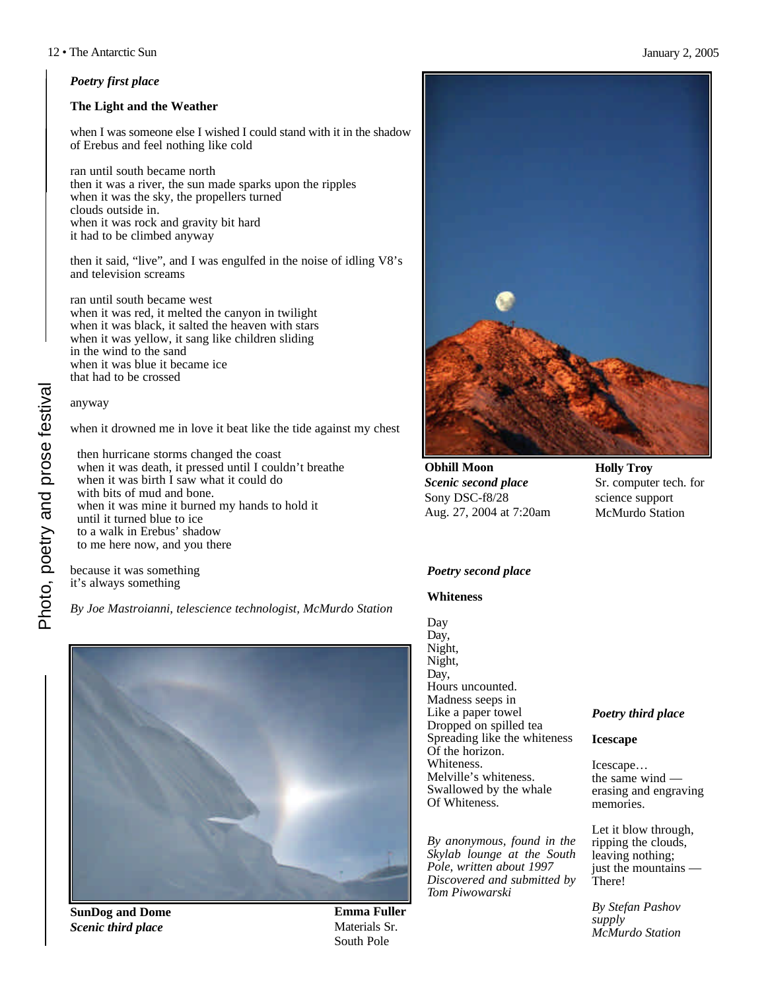#### *Poetry first place*

#### **The Light and the Weather**

when I was someone else I wished I could stand with it in the shadow of Erebus and feel nothing like cold

ran until south became north then it was a river, the sun made sparks upon the ripples when it was the sky, the propellers turned clouds outside in. when it was rock and gravity bit hard it had to be climbed anyway

then it said, "live", and I was engulfed in the noise of idling V8's and television screams

ran until south became west when it was red, it melted the canyon in twilight when it was black, it salted the heaven with stars when it was yellow, it sang like children sliding in the wind to the sand when it was blue it became ice that had to be crossed

#### anyway

when it drowned me in love it beat like the tide against my chest

then hurricane storms changed the coast when it was death, it pressed until I couldn't breathe when it was birth I saw what it could do with bits of mud and bone. when it was mine it burned my hands to hold it until it turned blue to ice to a walk in Erebus' shadow to me here now, and you there

because it was something it's always something

*By Joe Mastroianni, telescience technologist, McMurdo Station*



**SunDog and Dome** *Scenic third place*

**Emma Fuller** Materials Sr. South Pole



**Obhill Moon** *Scenic second place* Sony DSC-f8/28 Aug. 27, 2004 at 7:20am **Holly Troy** Sr. computer tech. for science support McMurdo Station

#### *Poetry second place*

#### **Whiteness**

Day Day, Night, Night, Day, Hours uncounted. Madness seeps in Like a paper towel Dropped on spilled tea Spreading like the whiteness Of the horizon. Whiteness. Melville's whiteness. Swallowed by the whale Of Whiteness.

*By anonymous, found in the Skylab lounge at the South Pole, written about 1997 Discovered and submitted by Tom Piwowarski*

#### *Poetry third place*

**Icescape**

Icescape… the same wind erasing and engraving memories.

Let it blow through, ripping the clouds, leaving nothing; just the mountains -There!

*By Stefan Pashov supply McMurdo Station*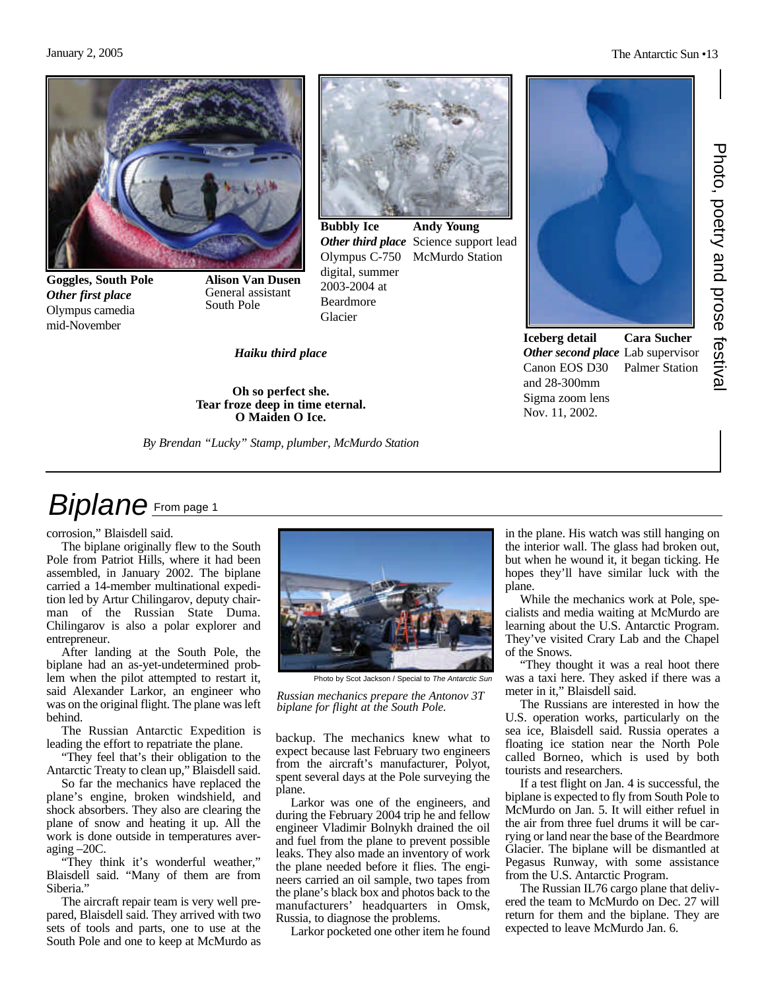#### January 2, 2005 The Antarctic Sun •13



**Goggles, South Pole** *Other first place* Olympus camedia mid-November

**Alison Van Dusen** General assistant South Pole



Glacier

**Oh so perfect she. Tear froze deep in time eternal. O Maiden O Ice.**

*By Brendan "Lucky" Stamp, plumber, McMurdo Station*

**Andy Young** Other third place Science support lead Olympus C-750 McMurdo Station **Bubbly Ice** digital, summer 2003-2004 at Beardmore



**Iceberg detail** *Other second place* Lab supervisor Canon EOS D30 and 28-300mm Sigma zoom lens Nov. 11, 2002.

**Cara Sucher** Palmer Station

### *Biplane* From page 1

corrosion," Blaisdell said.

The biplane originally flew to the South Pole from Patriot Hills, where it had been assembled, in January 2002. The biplane carried a 14-member multinational expedition led by Artur Chilingarov, deputy chairman of the Russian State Duma. Chilingarov is also a polar explorer and entrepreneur.

After landing at the South Pole, the biplane had an as-yet-undetermined problem when the pilot attempted to restart it, said Alexander Larkor, an engineer who was on the original flight. The plane was left behind.

The Russian Antarctic Expedition is leading the effort to repatriate the plane.

"They feel that's their obligation to the Antarctic Treaty to clean up," Blaisdell said.

So far the mechanics have replaced the plane's engine, broken windshield, and shock absorbers. They also are clearing the plane of snow and heating it up. All the work is done outside in temperatures averaging –20C.

"They think it's wonderful weather," Blaisdell said. "Many of them are from Siberia."

The aircraft repair team is very well prepared, Blaisdell said. They arrived with two sets of tools and parts, one to use at the South Pole and one to keep at McMurdo as



Photo by Scot Jackson / Special to *The Antarctic Sun*

*Russian mechanics prepare the Antonov 3T biplane for flight at the South Pole.*

backup. The mechanics knew what to expect because last February two engineers from the aircraft's manufacturer, Polyot, spent several days at the Pole surveying the plane.

Larkor was one of the engineers, and during the February 2004 trip he and fellow engineer Vladimir Bolnykh drained the oil and fuel from the plane to prevent possible leaks. They also made an inventory of work the plane needed before it flies. The engineers carried an oil sample, two tapes from the plane's black box and photos back to the manufacturers' headquarters in Omsk, Russia, to diagnose the problems.

Larkor pocketed one other item he found

in the plane. His watch was still hanging on the interior wall. The glass had broken out, but when he wound it, it began ticking. He hopes they'll have similar luck with the plane.

While the mechanics work at Pole, specialists and media waiting at McMurdo are learning about the U.S. Antarctic Program. They've visited Crary Lab and the Chapel of the Snows.

"They thought it was a real hoot there was a taxi here. They asked if there was a meter in it," Blaisdell said.

The Russians are interested in how the U.S. operation works, particularly on the sea ice, Blaisdell said. Russia operates a floating ice station near the North Pole called Borneo, which is used by both tourists and researchers.

If a test flight on Jan. 4 is successful, the biplane is expected to fly from South Pole to McMurdo on Jan. 5. It will either refuel in the air from three fuel drums it will be carrying or land near the base of the Beardmore Glacier. The biplane will be dismantled at Pegasus Runway, with some assistance from the U.S. Antarctic Program.

The Russian IL76 cargo plane that delivered the team to McMurdo on Dec. 27 will return for them and the biplane. They are expected to leave McMurdo Jan. 6.

Photo, poetry and prose festiva Photo, poetry and prose festival